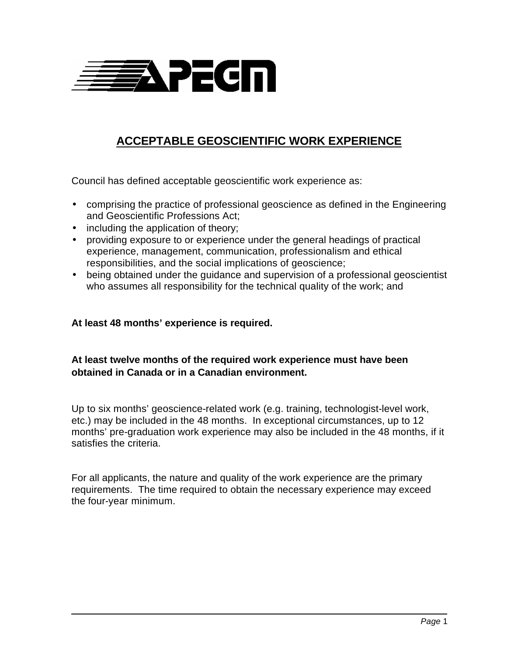

# **ACCEPTABLE GEOSCIENTIFIC WORK EXPERIENCE**

Council has defined acceptable geoscientific work experience as:

- comprising the practice of professional geoscience as defined in the Engineering and Geoscientific Professions Act;
- including the application of theory;
- providing exposure to or experience under the general headings of practical experience, management, communication, professionalism and ethical responsibilities, and the social implications of geoscience;
- being obtained under the guidance and supervision of a professional geoscientist who assumes all responsibility for the technical quality of the work; and

#### **At least 48 months' experience is required.**

## **At least twelve months of the required work experience must have been obtained in Canada or in a Canadian environment.**

Up to six months' geoscience-related work (e.g. training, technologist-level work, etc.) may be included in the 48 months. In exceptional circumstances, up to 12 months' pre-graduation work experience may also be included in the 48 months, if it satisfies the criteria.

For all applicants, the nature and quality of the work experience are the primary requirements. The time required to obtain the necessary experience may exceed the four-year minimum.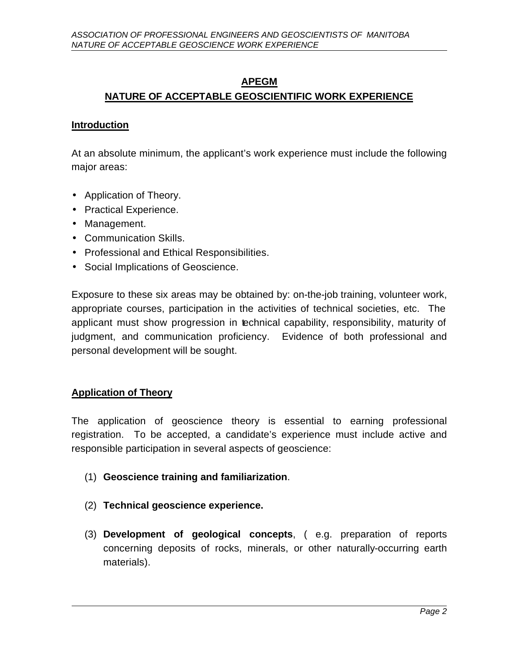### **APEGM**

## **NATURE OF ACCEPTABLE GEOSCIENTIFIC WORK EXPERIENCE**

#### **Introduction**

At an absolute minimum, the applicant's work experience must include the following major areas:

- Application of Theory.
- Practical Experience.
- Management.
- Communication Skills.
- Professional and Ethical Responsibilities.
- Social Implications of Geoscience.

Exposure to these six areas may be obtained by: on-the-job training, volunteer work, appropriate courses, participation in the activities of technical societies, etc. The applicant must show progression in technical capability, responsibility, maturity of judgment, and communication proficiency. Evidence of both professional and personal development will be sought.

#### **Application of Theory**

The application of geoscience theory is essential to earning professional registration. To be accepted, a candidate's experience must include active and responsible participation in several aspects of geoscience:

- (1) **Geoscience training and familiarization**.
- (2) **Technical geoscience experience.**
- (3) **Development of geological concepts**, ( e.g. preparation of reports concerning deposits of rocks, minerals, or other naturally-occurring earth materials).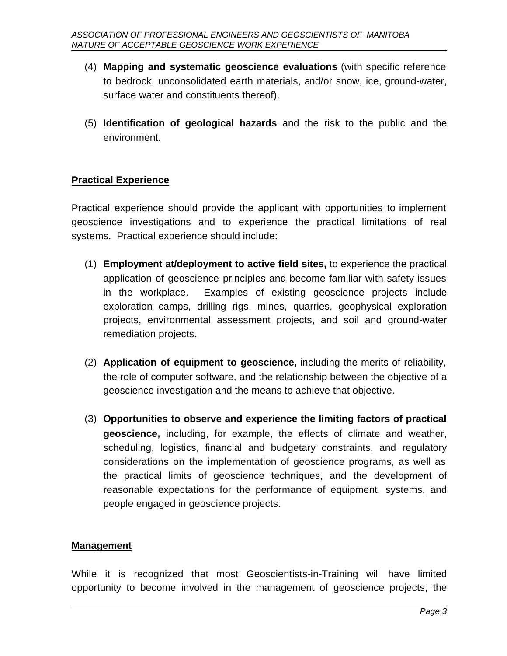- (4) **Mapping and systematic geoscience evaluations** (with specific reference to bedrock, unconsolidated earth materials, and/or snow, ice, ground-water, surface water and constituents thereof).
- (5) **Identification of geological hazards** and the risk to the public and the environment.

## **Practical Experience**

Practical experience should provide the applicant with opportunities to implement geoscience investigations and to experience the practical limitations of real systems. Practical experience should include:

- (1) **Employment at/deployment to active field sites,** to experience the practical application of geoscience principles and become familiar with safety issues in the workplace. Examples of existing geoscience projects include exploration camps, drilling rigs, mines, quarries, geophysical exploration projects, environmental assessment projects, and soil and ground-water remediation projects.
- (2) **Application of equipment to geoscience,** including the merits of reliability, the role of computer software, and the relationship between the objective of a geoscience investigation and the means to achieve that objective.
- (3) **Opportunities to observe and experience the limiting factors of practical geoscience,** including, for example, the effects of climate and weather, scheduling, logistics, financial and budgetary constraints, and regulatory considerations on the implementation of geoscience programs, as well as the practical limits of geoscience techniques, and the development of reasonable expectations for the performance of equipment, systems, and people engaged in geoscience projects.

#### **Management**

While it is recognized that most Geoscientists-in-Training will have limited opportunity to become involved in the management of geoscience projects, the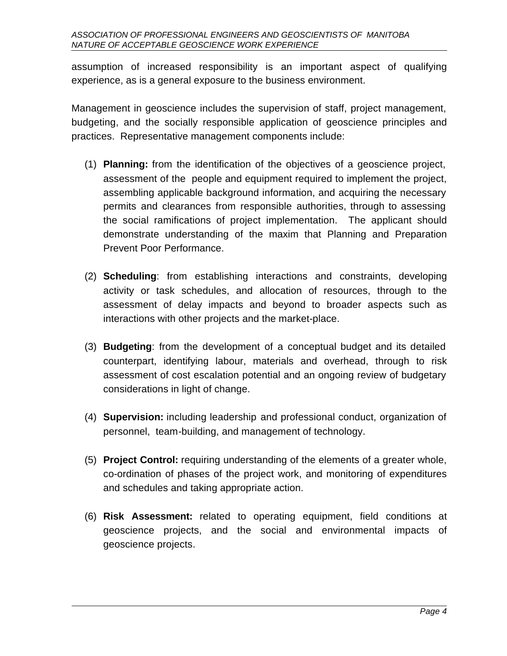assumption of increased responsibility is an important aspect of qualifying experience, as is a general exposure to the business environment.

Management in geoscience includes the supervision of staff, project management, budgeting, and the socially responsible application of geoscience principles and practices. Representative management components include:

- (1) **Planning:** from the identification of the objectives of a geoscience project, assessment of the people and equipment required to implement the project, assembling applicable background information, and acquiring the necessary permits and clearances from responsible authorities, through to assessing the social ramifications of project implementation. The applicant should demonstrate understanding of the maxim that Planning and Preparation Prevent Poor Performance.
- (2) **Scheduling**: from establishing interactions and constraints, developing activity or task schedules, and allocation of resources, through to the assessment of delay impacts and beyond to broader aspects such as interactions with other projects and the market-place.
- (3) **Budgeting**: from the development of a conceptual budget and its detailed counterpart, identifying labour, materials and overhead, through to risk assessment of cost escalation potential and an ongoing review of budgetary considerations in light of change.
- (4) **Supervision:** including leadership and professional conduct, organization of personnel, team-building, and management of technology.
- (5) **Project Control:** requiring understanding of the elements of a greater whole, co-ordination of phases of the project work, and monitoring of expenditures and schedules and taking appropriate action.
- (6) **Risk Assessment:** related to operating equipment, field conditions at geoscience projects, and the social and environmental impacts of geoscience projects.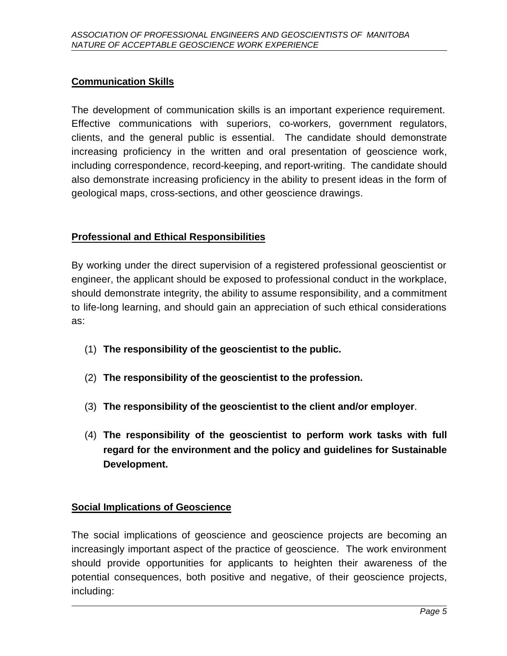## **Communication Skills**

The development of communication skills is an important experience requirement. Effective communications with superiors, co-workers, government regulators, clients, and the general public is essential. The candidate should demonstrate increasing proficiency in the written and oral presentation of geoscience work, including correspondence, record-keeping, and report-writing. The candidate should also demonstrate increasing proficiency in the ability to present ideas in the form of geological maps, cross-sections, and other geoscience drawings.

## **Professional and Ethical Responsibilities**

By working under the direct supervision of a registered professional geoscientist or engineer, the applicant should be exposed to professional conduct in the workplace, should demonstrate integrity, the ability to assume responsibility, and a commitment to life-long learning, and should gain an appreciation of such ethical considerations as:

- (1) **The responsibility of the geoscientist to the public.**
- (2) **The responsibility of the geoscientist to the profession.**
- (3) **The responsibility of the geoscientist to the client and/or employer**.
- (4) **The responsibility of the geoscientist to perform work tasks with full regard for the environment and the policy and guidelines for Sustainable Development.**

#### **Social Implications of Geoscience**

The social implications of geoscience and geoscience projects are becoming an increasingly important aspect of the practice of geoscience. The work environment should provide opportunities for applicants to heighten their awareness of the potential consequences, both positive and negative, of their geoscience projects, including: